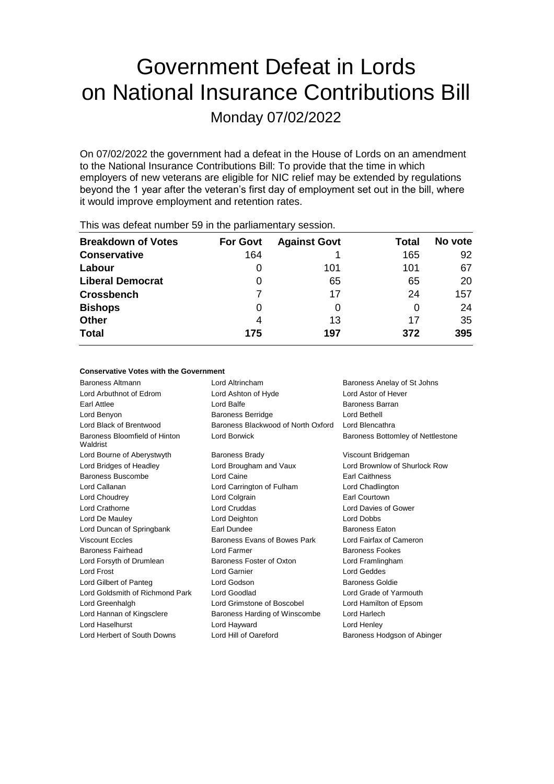# Government Defeat in Lords on National Insurance Contributions Bill

Monday 07/02/2022

On 07/02/2022 the government had a defeat in the House of Lords on an amendment to the National Insurance Contributions Bill: To provide that the time in which employers of new veterans are eligible for NIC relief may be extended by regulations beyond the 1 year after the veteran's first day of employment set out in the bill, where it would improve employment and retention rates.

| <b>Breakdown of Votes</b> | <b>For Govt</b> | <b>Against Govt</b> | Total | No vote |
|---------------------------|-----------------|---------------------|-------|---------|
| <b>Conservative</b>       | 164             |                     | 165   | 92      |
| Labour                    | 0               | 101                 | 101   | 67      |
| <b>Liberal Democrat</b>   | 0               | 65                  | 65    | 20      |
| <b>Crossbench</b>         |                 | 17                  | 24    | 157     |
| <b>Bishops</b>            | 0               | O                   | 0     | 24      |
| <b>Other</b>              | 4               | 13                  | 17    | 35      |
| <b>Total</b>              | 175             | 197                 | 372   | 395     |
|                           |                 |                     |       |         |

This was defeat number 59 in the parliamentary session.

### **Conservative Votes with the Government**

| Baroness Altmann                          | Lord Altrincham                    | Baroness Anelay of St Johns       |
|-------------------------------------------|------------------------------------|-----------------------------------|
| Lord Arbuthnot of Edrom                   | Lord Ashton of Hyde                | Lord Astor of Hever               |
| Earl Attlee                               | Lord Balfe                         | Baroness Barran                   |
| Lord Benyon                               | <b>Baroness Berridge</b>           | Lord Bethell                      |
| Lord Black of Brentwood                   | Baroness Blackwood of North Oxford | Lord Blencathra                   |
| Baroness Bloomfield of Hinton<br>Waldrist | Lord Borwick                       | Baroness Bottomley of Nettlestone |
| Lord Bourne of Aberystwyth                | <b>Baroness Brady</b>              | Viscount Bridgeman                |
| Lord Bridges of Headley                   | Lord Brougham and Vaux             | Lord Brownlow of Shurlock Row     |
| Baroness Buscombe                         | Lord Caine                         | <b>Earl Caithness</b>             |
| Lord Callanan                             | Lord Carrington of Fulham          | Lord Chadlington                  |
| Lord Choudrey                             | Lord Colgrain                      | Earl Courtown                     |
| Lord Crathorne                            | Lord Cruddas                       | Lord Davies of Gower              |
| Lord De Mauley                            | Lord Deighton                      | <b>Lord Dobbs</b>                 |
| Lord Duncan of Springbank                 | Earl Dundee                        | <b>Baroness Eaton</b>             |
| <b>Viscount Eccles</b>                    | Baroness Evans of Bowes Park       | Lord Fairfax of Cameron           |
| Baroness Fairhead                         | Lord Farmer                        | <b>Baroness Fookes</b>            |
| Lord Forsyth of Drumlean                  | Baroness Foster of Oxton           | Lord Framlingham                  |
| <b>Lord Frost</b>                         | <b>Lord Garnier</b>                | Lord Geddes                       |
| Lord Gilbert of Panteg                    | Lord Godson                        | <b>Baroness Goldie</b>            |
| Lord Goldsmith of Richmond Park           | Lord Goodlad                       | Lord Grade of Yarmouth            |
| Lord Greenhalgh                           | Lord Grimstone of Boscobel         | Lord Hamilton of Epsom            |
| Lord Hannan of Kingsclere                 | Baroness Harding of Winscombe      | Lord Harlech                      |
| Lord Haselhurst                           | Lord Hayward                       | Lord Henley                       |
| Lord Herbert of South Downs               | Lord Hill of Oareford              | Baroness Hodgson of Abinger       |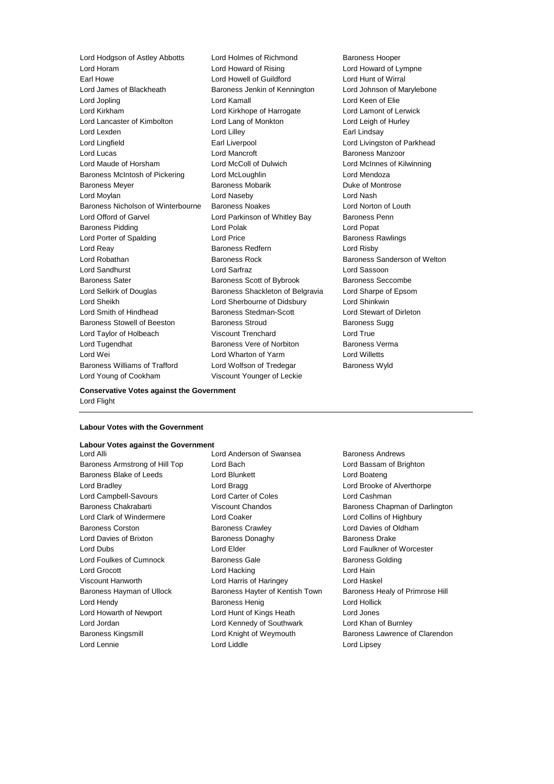Lord Horam Lord Howard of Rising Lord Howard of Lympne<br>
Lord Howard of Guildford Lord Howal Lord Hunt of Wirral Lord James of Blackheath Baroness Jenkin of Kennington Lord Johnson of Marylebone Lord Jopling Lord Kamall Lord Keen of Elie Lord Kirkham Lord Kirkhope of Harrogate Lord Lamont of Lerwick Lord Lancaster of Kimbolton Lord Lang of Monkton Lord Leigh of Hurley Lord Lexden **Lord Lilley** Lord Lilley **Communicate Lord Lilley Earl Lindsay** Lord Lingfield **Earl Liverpool** Earl Liverpool **Lord Livingston of Parkhead** Lord Lucas Lord Mancroft Baroness Manzoor Lord Maude of Horsham Lord McColl of Dulwich Lord McInnes of Kilwinning Baroness McIntosh of Pickering Lord McLoughlin Lord Mendoza Baroness Meyer **Baroness Mobarik** Baroness Mobarik **Duke of Montrose** Lord Moylan Lord Naseby Lord Nash Baroness Nicholson of Winterbourne Baroness Noakes Lord Norton of Louth Lord Offord of Garvel Lord Parkinson of Whitley Bay Baroness Penn Baroness Pidding **Lord Polak Lord Polace Lord Popat** Lord Popat Lord Porter of Spalding **Lord Price Lord Price Baroness Rawlings** Lord Reay **Baroness Redfern Example 20** Lord Risby Lord Robathan Baroness Rock Baroness Sanderson of Welton Lord Sandhurst Lord Sarfraz Lord Sassoon Baroness Sater **Baroness Scott of Bybrook** Baroness Seccombe<br>
Lord Selkirk of Douglas **Baroness Shackleton of Belgravia** Lord Sharpe of Epsor Lord Sheikh Lord Sherbourne of Didsbury Lord Shinkwin Lord Smith of Hindhead Baroness Stedman-Scott Lord Stewart of Dirleton Baroness Stowell of Beeston Baroness Stroud Baroness Sugg Lord Taylor of Holbeach Viscount Trenchard Lord True Lord Tugendhat **Baroness Vere of Norbiton** Baroness Verma Lord Wei Lord Wharton of Yarm Lord Willetts Baroness Williams of Trafford Lord Wolfson of Tredegar Baroness Wyld Lord Young of Cookham Viscount Younger of Leckie

Lord Hodgson of Astley Abbotts Lord Holmes of Richmond Baroness Hooper Lord Howell of Guildford Lord Hunt of Wirral Baroness Shackleton of Belgravia Lord Sharpe of Epsom

#### **Conservative Votes against the Government** Lord Flight

## **Labour Votes with the Government**

#### **Labour Votes against the Government**

Lord Lennie Lord Liddle Lord Lipsey

Lord Alli **Lord Anderson of Swansea** Baroness Andrews Baroness Armstrong of Hill Top Lord Bach Lord Bassam of Brighton Baroness Blake of Leeds Lord Blunkett Lord Boateng Lord Bradley **Lord Bragg Lord Bragg Lord Brooke of Alverthorpe** Lord Campbell-Savours Lord Carter of Coles Lord Cashman Lord Clark of Windermere Lord Coaker Lord Collins of Highbury Baroness Corston Baroness Crawley Lord Davies of Oldham Lord Davies of Brixton **Baroness Donaghy** Baroness Davies Baroness Drake Lord Dubs Lord Elder Lord Faulkner of Worcester Lord Foulkes of Cumnock **Baroness Gale** Baroness Golding Baroness Golding Lord Grocott **Lord Hacking** Lord Hacking **Lord Hain** Viscount Hanworth Lord Harris of Haringey Lord Haskel Baroness Hayman of Ullock Baroness Hayter of Kentish Town Baroness Healy of Primrose Hill Lord Hendy **Baroness Henig Baroness Henig Lord Hollick** Lord Howarth of Newport Lord Hunt of Kings Heath Lord Jones Lord Jordan Lord Kennedy of Southwark Lord Khan of Burnley

Baroness Chakrabarti **Viscount Chandos** Baroness Chapman of Darlington Baroness Kingsmill **Example 2** Lord Knight of Weymouth **Baroness Lawrence of Clarendon**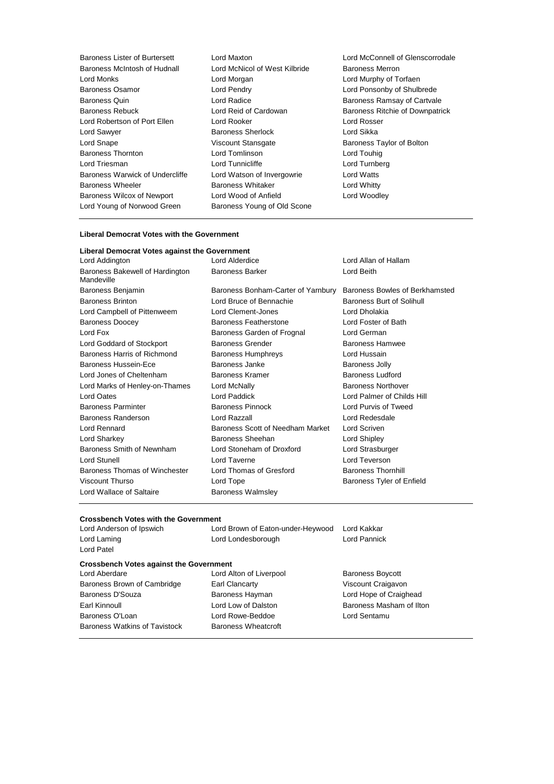| Baroness Lister of Burtersett     | Lord  |
|-----------------------------------|-------|
| Baroness McIntosh of Hudnall      | Lord  |
| Lord Monks                        | Lord  |
| Baroness Osamor                   | Lord  |
| <b>Baroness Quin</b>              | Lord  |
| <b>Baroness Rebuck</b>            | Lord  |
| Lord Robertson of Port Ellen      | Lord  |
| Lord Sawyer                       | Baro  |
| Lord Snape                        | Visco |
| <b>Baroness Thornton</b>          | Lord  |
| Lord Triesman                     | Lord  |
| Baroness Warwick of Undercliffe   | Lord  |
| <b>Baroness Wheeler</b>           | Baro  |
| <b>Baroness Wilcox of Newport</b> | Lord  |
| Lord Young of Norwood Green       | Baroi |

McNicol of West Kilbride Baroness Merron<br>Morgan **Monall Lord Murphy of To** Morgan Lord Murphy of Torfaen<br>
Pendry Cord Ponsonby of Shulb Rooker **Ellen Lord Rosser** Lord Rosser ness Sherlock Lord Sikka ount Stansgate **Baroness Taylor of Bolton**<br>
Tomlinson **Baroness Taylor of Bolton** Tunnicliffe Lord Turnberg Watson of Invergowrie Lord Watts ness Whitaker **Baroness Whitty** Wood of Anfield Lord Woodley ness Young of Old Scone

Maxton **Maxton** Lord McConnell of Glenscorrodale Pendry **Consulter Consulter Consulter Consulter** Radice<br>
Baroness Ramsay of Cartval Radice Baroness Ramsay of Cartvale<br>
Reid of Cardowan Baroness Ritchie of Downpatri Baroness Ritchie of Downpatrick Lord Touhig

#### **Liberal Democrat Votes with the Government**

| Liberal Democrat Votes against the Government |                                    |                                |
|-----------------------------------------------|------------------------------------|--------------------------------|
| Lord Addington                                | Lord Alderdice                     | Lord Allan of Hallam           |
| Baroness Bakewell of Hardington<br>Mandeville | <b>Baroness Barker</b>             | Lord Beith                     |
| Baroness Benjamin                             | Baroness Bonham-Carter of Yarnbury | Baroness Bowles of Berkhamsted |
| <b>Baroness Brinton</b>                       | Lord Bruce of Bennachie            | Baroness Burt of Solihull      |
| Lord Campbell of Pittenweem                   | Lord Clement-Jones                 | Lord Dholakia                  |
| <b>Baroness Doocey</b>                        | Baroness Featherstone              | Lord Foster of Bath            |
| Lord Fox                                      | Baroness Garden of Frognal         | Lord German                    |
| Lord Goddard of Stockport                     | <b>Baroness Grender</b>            | <b>Baroness Hamwee</b>         |
| Baroness Harris of Richmond                   | <b>Baroness Humphreys</b>          | Lord Hussain                   |
| Baroness Hussein-Ece                          | Baroness Janke                     | <b>Baroness Jolly</b>          |
| Lord Jones of Cheltenham                      | Baroness Kramer                    | <b>Baroness Ludford</b>        |
| Lord Marks of Henley-on-Thames                | Lord McNally                       | <b>Baroness Northover</b>      |
| <b>Lord Oates</b>                             | Lord Paddick                       | Lord Palmer of Childs Hill     |
| <b>Baroness Parminter</b>                     | <b>Baroness Pinnock</b>            | Lord Purvis of Tweed           |
| Baroness Randerson                            | Lord Razzall                       | Lord Redesdale                 |
| Lord Rennard                                  | Baroness Scott of Needham Market   | Lord Scriven                   |
| Lord Sharkey                                  | Baroness Sheehan                   | Lord Shipley                   |
| Baroness Smith of Newnham                     | Lord Stoneham of Droxford          | Lord Strasburger               |
| Lord Stunell                                  | Lord Taverne                       | Lord Teverson                  |
| Baroness Thomas of Winchester                 | Lord Thomas of Gresford            | <b>Baroness Thornhill</b>      |
| Viscount Thurso                               | Lord Tope                          | Baroness Tyler of Enfield      |
| Lord Wallace of Saltaire                      | <b>Baroness Walmsley</b>           |                                |

#### **Crossbench Votes with the Government**

| Lord Anderson of Ipswich                       | Lord Brown of Eaton-under-Heywood | Lord Kakkar              |
|------------------------------------------------|-----------------------------------|--------------------------|
| Lord Laming                                    | Lord Londesborough                | Lord Pannick             |
| Lord Patel                                     |                                   |                          |
| <b>Crossbench Votes against the Government</b> |                                   |                          |
| Lord Aberdare                                  | Lord Alton of Liverpool           | <b>Baroness Boycott</b>  |
| Baroness Brown of Cambridge                    | Earl Clancarty                    | Viscount Craigavon       |
| Baroness D'Souza                               | Baroness Hayman                   | Lord Hope of Craighead   |
| Earl Kinnoull                                  | Lord Low of Dalston               | Baroness Masham of Ilton |
| Baroness O'Loan                                | Lord Rowe-Beddoe                  | Lord Sentamu             |
| <b>Baroness Watkins of Tavistock</b>           | Baroness Wheatcroft               |                          |
|                                                |                                   |                          |